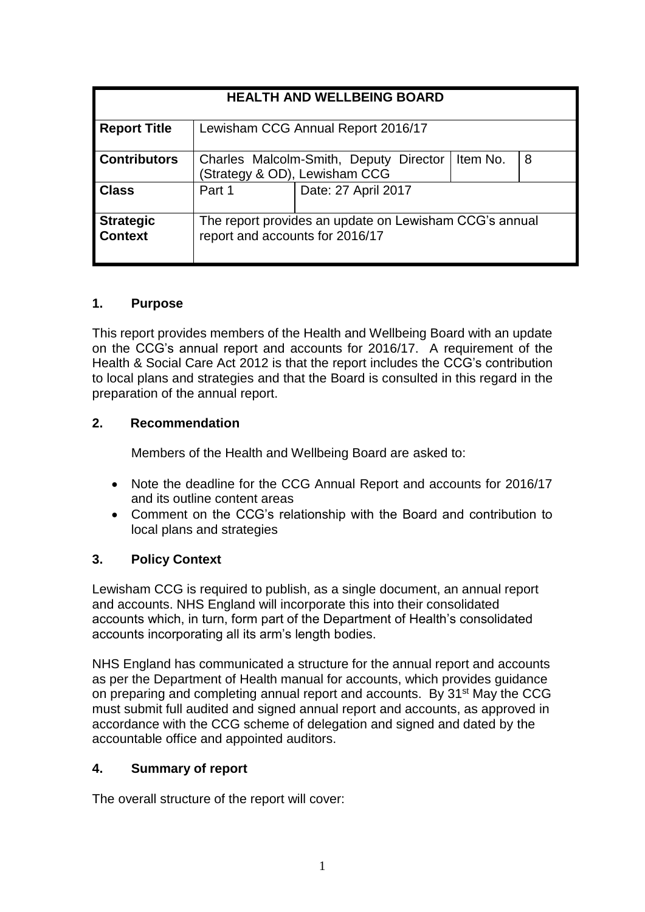| <b>HEALTH AND WELLBEING BOARD</b>  |                                                                                           |                                                                         |          |   |
|------------------------------------|-------------------------------------------------------------------------------------------|-------------------------------------------------------------------------|----------|---|
| <b>Report Title</b>                | Lewisham CCG Annual Report 2016/17                                                        |                                                                         |          |   |
| <b>Contributors</b>                |                                                                                           | Charles Malcolm-Smith, Deputy Director<br>(Strategy & OD), Lewisham CCG | Item No. | 8 |
| <b>Class</b>                       | Part 1                                                                                    | Date: 27 April 2017                                                     |          |   |
| <b>Strategic</b><br><b>Context</b> | The report provides an update on Lewisham CCG's annual<br>report and accounts for 2016/17 |                                                                         |          |   |

### **1. Purpose**

This report provides members of the Health and Wellbeing Board with an update on the CCG's annual report and accounts for 2016/17. A requirement of the Health & Social Care Act 2012 is that the report includes the CCG's contribution to local plans and strategies and that the Board is consulted in this regard in the preparation of the annual report.

#### **2. Recommendation**

Members of the Health and Wellbeing Board are asked to:

- Note the deadline for the CCG Annual Report and accounts for 2016/17 and its outline content areas
- Comment on the CCG's relationship with the Board and contribution to local plans and strategies

### **3. Policy Context**

Lewisham CCG is required to publish, as a single document, an annual report and accounts. NHS England will incorporate this into their consolidated accounts which, in turn, form part of the Department of Health's consolidated accounts incorporating all its arm's length bodies.

NHS England has communicated a structure for the annual report and accounts as per the Department of [Health manual for accounts,](https://www.gov.uk/government/uploads/system/uploads/attachment_data/file/427554/FRAB_123_07_2015-16_MfA.pdf) which provides guidance on preparing and completing annual report and accounts. By 31<sup>st</sup> May the CCG must submit full audited and signed annual report and accounts, as approved in accordance with the CCG scheme of delegation and signed and dated by the accountable office and appointed auditors.

#### **4. Summary of report**

The overall structure of the report will cover: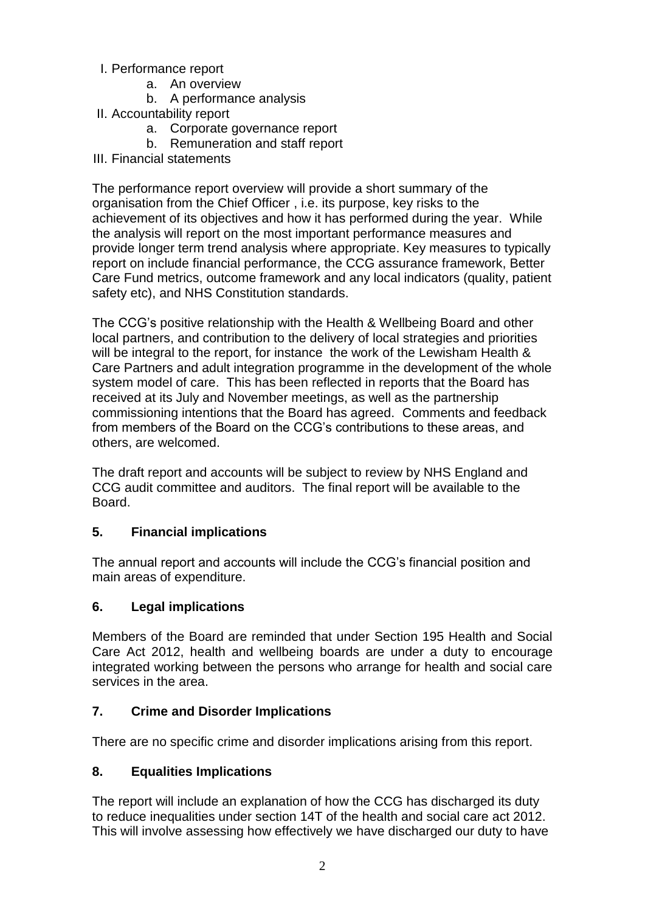- I. Performance report
	- a. An overview
	- b. A performance analysis
- II. Accountability report
	- a. Corporate governance report
	- b. Remuneration and staff report
- III. Financial statements

The performance report overview will provide a short summary of the organisation from the Chief Officer , i.e. its purpose, key risks to the achievement of its objectives and how it has performed during the year. While the analysis will report on the most important performance measures and provide longer term trend analysis where appropriate. Key measures to typically report on include financial performance, the CCG assurance framework, Better Care Fund metrics, outcome framework and any local indicators (quality, patient safety etc), and NHS Constitution standards.

The CCG's positive relationship with the Health & Wellbeing Board and other local partners, and contribution to the delivery of local strategies and priorities will be integral to the report, for instance the work of the Lewisham Health & Care Partners and adult integration programme in the development of the whole system model of care. This has been reflected in reports that the Board has received at its July and November meetings, as well as the partnership commissioning intentions that the Board has agreed. Comments and feedback from members of the Board on the CCG's contributions to these areas, and others, are welcomed.

The draft report and accounts will be subject to review by NHS England and CCG audit committee and auditors. The final report will be available to the Board.

# **5. Financial implications**

The annual report and accounts will include the CCG's financial position and main areas of expenditure.

### **6. Legal implications**

Members of the Board are reminded that under Section 195 Health and Social Care Act 2012, health and wellbeing boards are under a duty to encourage integrated working between the persons who arrange for health and social care services in the area.

# **7. Crime and Disorder Implications**

There are no specific crime and disorder implications arising from this report.

# **8. Equalities Implications**

The report will include an explanation of how the CCG has discharged its duty to reduce inequalities under section 14T of the health and social care act 2012. This will involve assessing how effectively we have discharged our duty to have